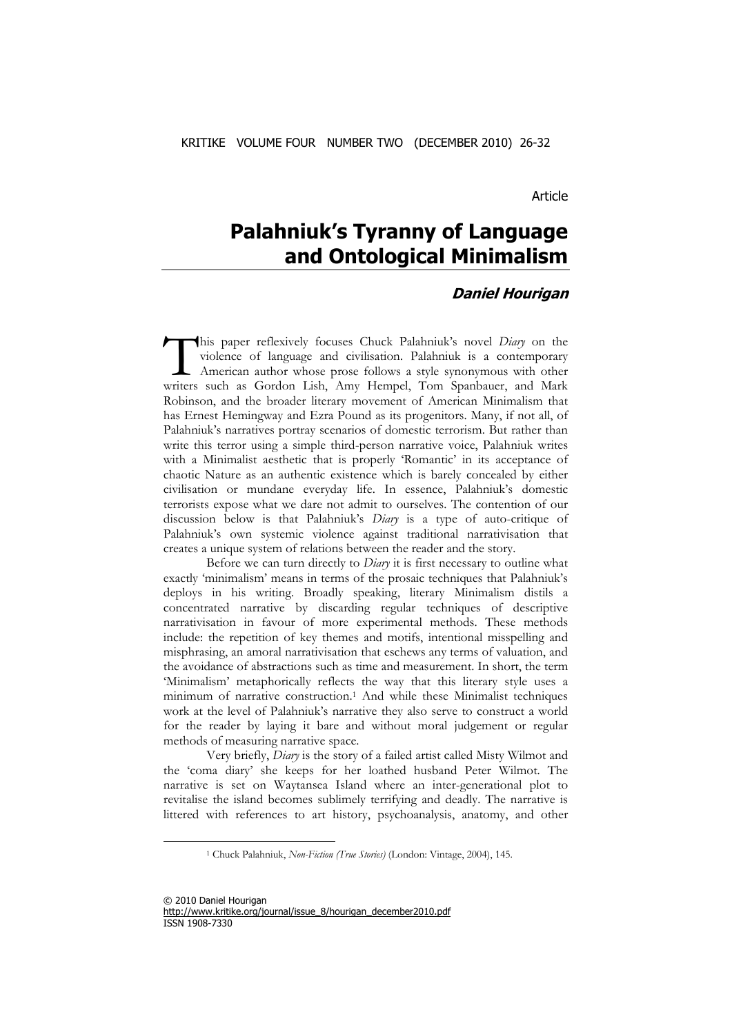Article

# **Palahniuk's Tyranny of Language and Ontological Minimalism**

## **Daniel Hourigan**

his paper reflexively focuses Chuck Palahniuk's novel *Diary* on the violence of language and civilisation. Palahniuk is a contemporary American author whose prose follows a style synonymous with other This paper reflexively focuses Chuck Palahniuk's novel *Diary* on the violence of language and civilisation. Palahniuk is a contemporary American author whose prose follows a style synonymous with other writers such as Gor Robinson, and the broader literary movement of American Minimalism that has Ernest Hemingway and Ezra Pound as its progenitors. Many, if not all, of Palahniuk's narratives portray scenarios of domestic terrorism. But rather than write this terror using a simple third-person narrative voice, Palahniuk writes with a Minimalist aesthetic that is properly 'Romantic' in its acceptance of chaotic Nature as an authentic existence which is barely concealed by either civilisation or mundane everyday life. In essence, Palahniuk's domestic terrorists expose what we dare not admit to ourselves. The contention of our discussion below is that Palahniuk's *Diary* is a type of auto-critique of Palahniuk's own systemic violence against traditional narrativisation that creates a unique system of relations between the reader and the story.

Before we can turn directly to *Diary* it is first necessary to outline what exactly 'minimalism' means in terms of the prosaic techniques that Palahniuk's deploys in his writing. Broadly speaking, literary Minimalism distils a concentrated narrative by discarding regular techniques of descriptive narrativisation in favour of more experimental methods. These methods include: the repetition of key themes and motifs, intentional misspelling and misphrasing, an amoral narrativisation that eschews any terms of valuation, and the avoidance of abstractions such as time and measurement. In short, the term 'Minimalism' metaphorically reflects the way that this literary style uses a minimum of narrative construction.1 And while these Minimalist techniques work at the level of Palahniuk's narrative they also serve to construct a world for the reader by laying it bare and without moral judgement or regular methods of measuring narrative space.

Very briefly, *Diary* is the story of a failed artist called Misty Wilmot and the 'coma diary' she keeps for her loathed husband Peter Wilmot. The narrative is set on Waytansea Island where an inter-generational plot to revitalise the island becomes sublimely terrifying and deadly. The narrative is littered with references to art history, psychoanalysis, anatomy, and other

<sup>1</sup> Chuck Palahniuk, *Non-Fiction (True Stories)* (London: Vintage, 2004), 145.

<sup>© 2010</sup> Daniel Hourigan http://www.kritike.org/journal/issue\_8/hourigan\_december2010.pdf ISSN 1908-7330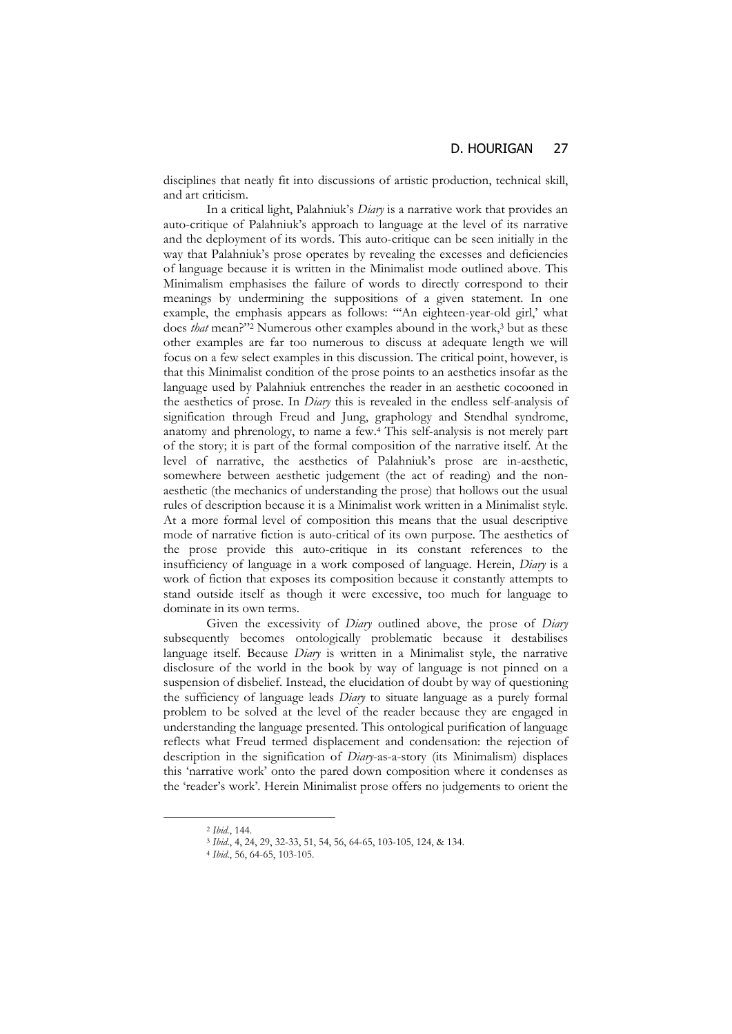disciplines that neatly fit into discussions of artistic production, technical skill, and art criticism.

In a critical light, Palahniuk's *Diary* is a narrative work that provides an auto-critique of Palahniuk's approach to language at the level of its narrative and the deployment of its words. This auto-critique can be seen initially in the way that Palahniuk's prose operates by revealing the excesses and deficiencies of language because it is written in the Minimalist mode outlined above. This Minimalism emphasises the failure of words to directly correspond to their meanings by undermining the suppositions of a given statement. In one example, the emphasis appears as follows: "'An eighteen-year-old girl,' what does *that* mean?"<sup>2</sup> Numerous other examples abound in the work,<sup>3</sup> but as these other examples are far too numerous to discuss at adequate length we will focus on a few select examples in this discussion. The critical point, however, is that this Minimalist condition of the prose points to an aesthetics insofar as the language used by Palahniuk entrenches the reader in an aesthetic cocooned in the aesthetics of prose. In *Diary* this is revealed in the endless self-analysis of signification through Freud and Jung, graphology and Stendhal syndrome, anatomy and phrenology, to name a few.4 This self-analysis is not merely part of the story; it is part of the formal composition of the narrative itself. At the level of narrative, the aesthetics of Palahniuk's prose are in-aesthetic, somewhere between aesthetic judgement (the act of reading) and the nonaesthetic (the mechanics of understanding the prose) that hollows out the usual rules of description because it is a Minimalist work written in a Minimalist style. At a more formal level of composition this means that the usual descriptive mode of narrative fiction is auto-critical of its own purpose. The aesthetics of the prose provide this auto-critique in its constant references to the insufficiency of language in a work composed of language. Herein, *Diary* is a work of fiction that exposes its composition because it constantly attempts to stand outside itself as though it were excessive, too much for language to dominate in its own terms.

Given the excessivity of *Diary* outlined above, the prose of *Diary*  subsequently becomes ontologically problematic because it destabilises language itself. Because *Diary* is written in a Minimalist style, the narrative disclosure of the world in the book by way of language is not pinned on a suspension of disbelief. Instead, the elucidation of doubt by way of questioning the sufficiency of language leads *Diary* to situate language as a purely formal problem to be solved at the level of the reader because they are engaged in understanding the language presented. This ontological purification of language reflects what Freud termed displacement and condensation: the rejection of description in the signification of *Diary*-as-a-story (its Minimalism) displaces this 'narrative work' onto the pared down composition where it condenses as the 'reader's work'. Herein Minimalist prose offers no judgements to orient the

<sup>2</sup> *Ibid.*, 144. 3 *Ibid*., 4, 24, 29, 32-33, 51, 54, 56, 64-65, 103-105, 124, & 134. 4 *Ibid*., 56, 64-65, 103-105.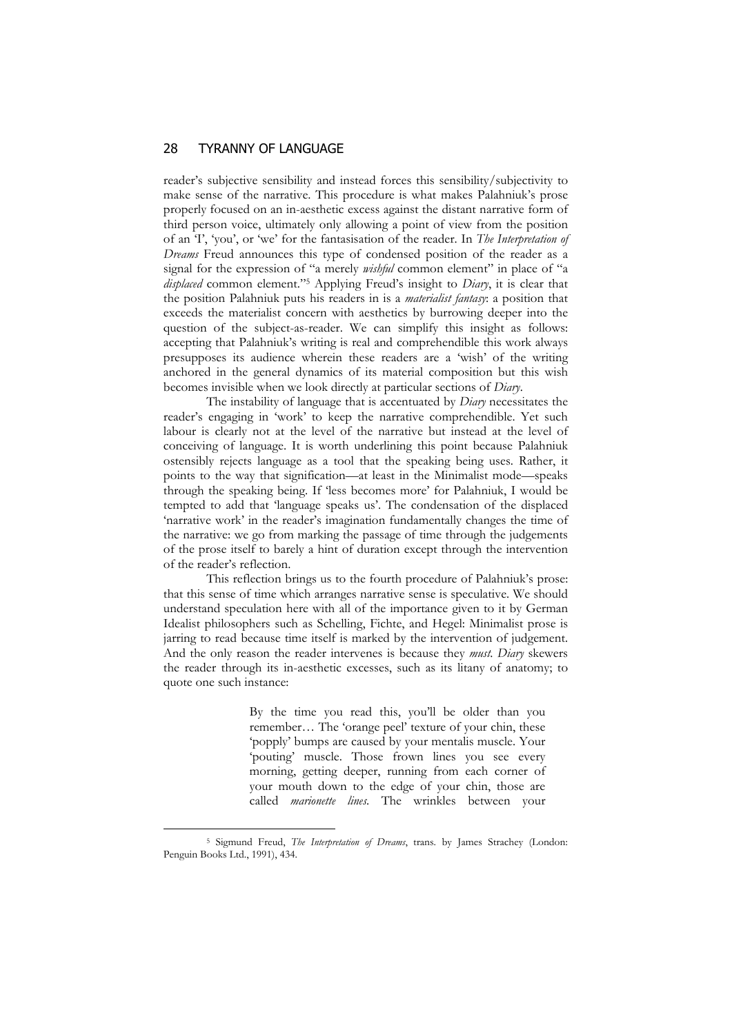#### 28 TYRANNY OF LANGUAGE

reader's subjective sensibility and instead forces this sensibility/subjectivity to make sense of the narrative. This procedure is what makes Palahniuk's prose properly focused on an in-aesthetic excess against the distant narrative form of third person voice, ultimately only allowing a point of view from the position of an 'I', 'you', or 'we' for the fantasisation of the reader. In *The Interpretation of Dreams* Freud announces this type of condensed position of the reader as a signal for the expression of "a merely *wishful* common element" in place of "a *displaced* common element."5 Applying Freud's insight to *Diary*, it is clear that the position Palahniuk puts his readers in is a *materialist fantasy*: a position that exceeds the materialist concern with aesthetics by burrowing deeper into the question of the subject-as-reader. We can simplify this insight as follows: accepting that Palahniuk's writing is real and comprehendible this work always presupposes its audience wherein these readers are a 'wish' of the writing anchored in the general dynamics of its material composition but this wish becomes invisible when we look directly at particular sections of *Diary*.

The instability of language that is accentuated by *Diary* necessitates the reader's engaging in 'work' to keep the narrative comprehendible. Yet such labour is clearly not at the level of the narrative but instead at the level of conceiving of language. It is worth underlining this point because Palahniuk ostensibly rejects language as a tool that the speaking being uses. Rather, it points to the way that signification—at least in the Minimalist mode—speaks through the speaking being. If 'less becomes more' for Palahniuk, I would be tempted to add that 'language speaks us'. The condensation of the displaced 'narrative work' in the reader's imagination fundamentally changes the time of the narrative: we go from marking the passage of time through the judgements of the prose itself to barely a hint of duration except through the intervention of the reader's reflection.

This reflection brings us to the fourth procedure of Palahniuk's prose: that this sense of time which arranges narrative sense is speculative. We should understand speculation here with all of the importance given to it by German Idealist philosophers such as Schelling, Fichte, and Hegel: Minimalist prose is jarring to read because time itself is marked by the intervention of judgement. And the only reason the reader intervenes is because they *must*. *Diary* skewers the reader through its in-aesthetic excesses, such as its litany of anatomy; to quote one such instance:

> By the time you read this, you'll be older than you remember… The 'orange peel' texture of your chin, these 'popply' bumps are caused by your mentalis muscle. Your 'pouting' muscle. Those frown lines you see every morning, getting deeper, running from each corner of your mouth down to the edge of your chin, those are called *marionette lines*. The wrinkles between your

<sup>5</sup> Sigmund Freud, *The Interpretation of Dreams*, trans. by James Strachey (London: Penguin Books Ltd., 1991), 434.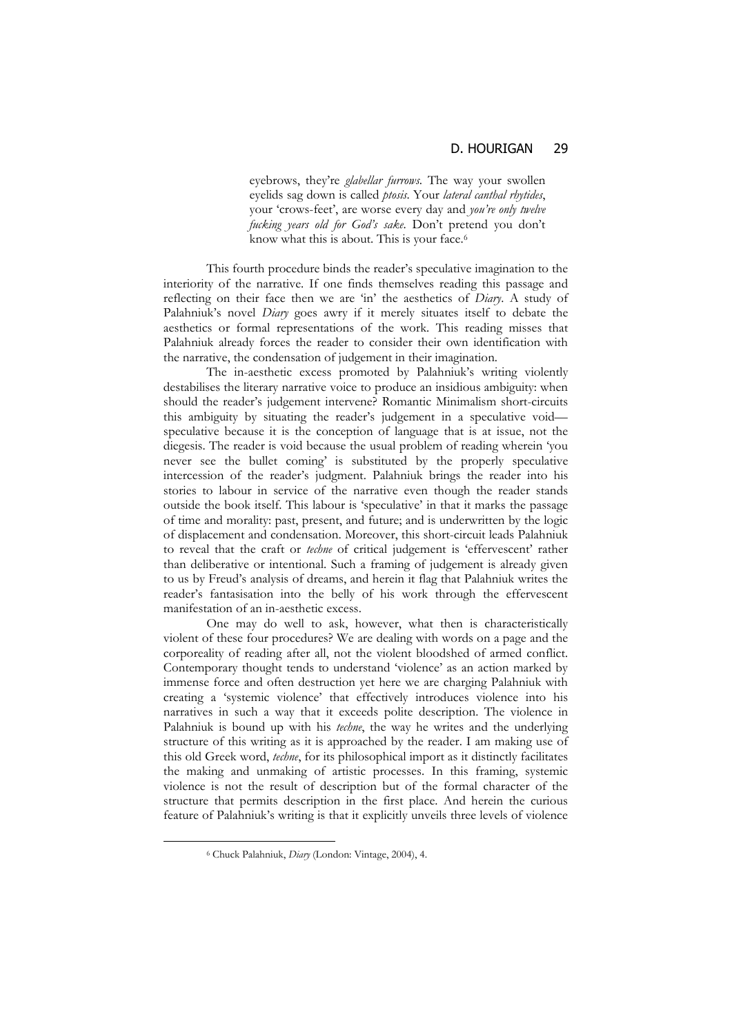eyebrows, they're *glabellar furrows*. The way your swollen eyelids sag down is called *ptosis*. Your *lateral canthal rhytides*, your 'crows-feet', are worse every day and *you're only twelve fucking years old for God's sake*. Don't pretend you don't know what this is about. This is your face.<sup>6</sup>

This fourth procedure binds the reader's speculative imagination to the interiority of the narrative. If one finds themselves reading this passage and reflecting on their face then we are 'in' the aesthetics of *Diary*. A study of Palahniuk's novel *Diary* goes awry if it merely situates itself to debate the aesthetics or formal representations of the work. This reading misses that Palahniuk already forces the reader to consider their own identification with the narrative, the condensation of judgement in their imagination.

The in-aesthetic excess promoted by Palahniuk's writing violently destabilises the literary narrative voice to produce an insidious ambiguity: when should the reader's judgement intervene? Romantic Minimalism short-circuits this ambiguity by situating the reader's judgement in a speculative void speculative because it is the conception of language that is at issue, not the diegesis. The reader is void because the usual problem of reading wherein 'you never see the bullet coming' is substituted by the properly speculative intercession of the reader's judgment. Palahniuk brings the reader into his stories to labour in service of the narrative even though the reader stands outside the book itself. This labour is 'speculative' in that it marks the passage of time and morality: past, present, and future; and is underwritten by the logic of displacement and condensation. Moreover, this short-circuit leads Palahniuk to reveal that the craft or *techne* of critical judgement is 'effervescent' rather than deliberative or intentional. Such a framing of judgement is already given to us by Freud's analysis of dreams, and herein it flag that Palahniuk writes the reader's fantasisation into the belly of his work through the effervescent manifestation of an in-aesthetic excess.

One may do well to ask, however, what then is characteristically violent of these four procedures? We are dealing with words on a page and the corporeality of reading after all, not the violent bloodshed of armed conflict. Contemporary thought tends to understand 'violence' as an action marked by immense force and often destruction yet here we are charging Palahniuk with creating a 'systemic violence' that effectively introduces violence into his narratives in such a way that it exceeds polite description. The violence in Palahniuk is bound up with his *techne*, the way he writes and the underlying structure of this writing as it is approached by the reader. I am making use of this old Greek word, *techne*, for its philosophical import as it distinctly facilitates the making and unmaking of artistic processes. In this framing, systemic violence is not the result of description but of the formal character of the structure that permits description in the first place. And herein the curious feature of Palahniuk's writing is that it explicitly unveils three levels of violence

<sup>6</sup> Chuck Palahniuk, *Diary* (London: Vintage, 2004), 4.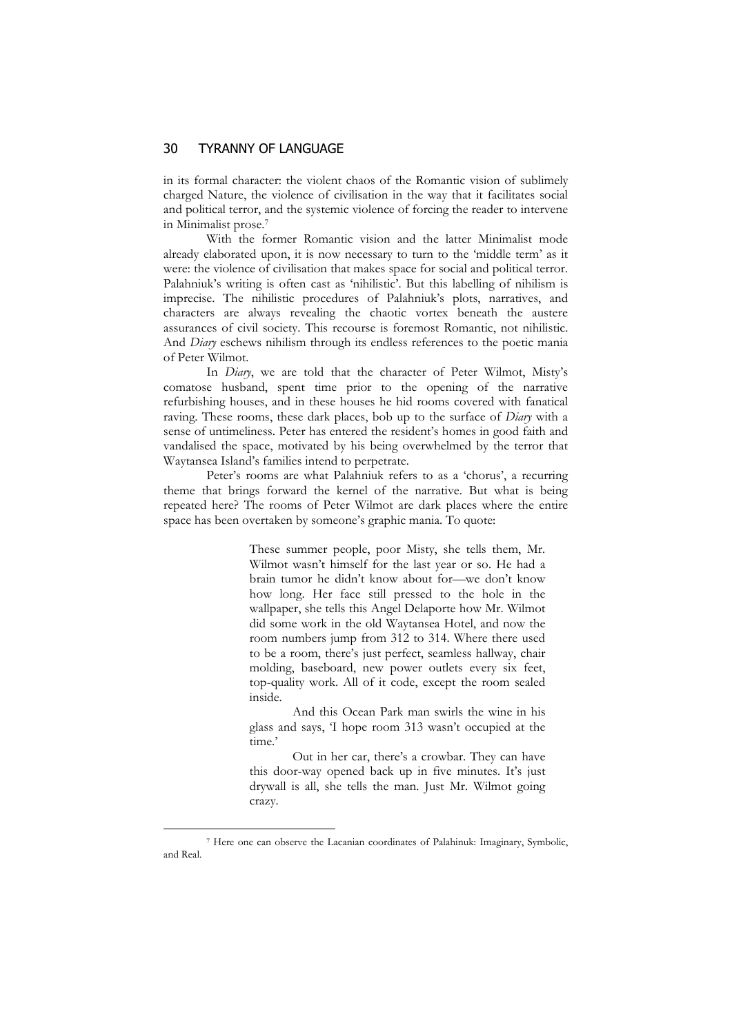### 30 TYRANNY OF LANGUAGE

in its formal character: the violent chaos of the Romantic vision of sublimely charged Nature, the violence of civilisation in the way that it facilitates social and political terror, and the systemic violence of forcing the reader to intervene in Minimalist prose.7

With the former Romantic vision and the latter Minimalist mode already elaborated upon, it is now necessary to turn to the 'middle term' as it were: the violence of civilisation that makes space for social and political terror. Palahniuk's writing is often cast as 'nihilistic'. But this labelling of nihilism is imprecise. The nihilistic procedures of Palahniuk's plots, narratives, and characters are always revealing the chaotic vortex beneath the austere assurances of civil society. This recourse is foremost Romantic, not nihilistic. And *Diary* eschews nihilism through its endless references to the poetic mania of Peter Wilmot.

In *Diary*, we are told that the character of Peter Wilmot, Misty's comatose husband, spent time prior to the opening of the narrative refurbishing houses, and in these houses he hid rooms covered with fanatical raving. These rooms, these dark places, bob up to the surface of *Diary* with a sense of untimeliness. Peter has entered the resident's homes in good faith and vandalised the space, motivated by his being overwhelmed by the terror that Waytansea Island's families intend to perpetrate.

Peter's rooms are what Palahniuk refers to as a 'chorus', a recurring theme that brings forward the kernel of the narrative. But what is being repeated here? The rooms of Peter Wilmot are dark places where the entire space has been overtaken by someone's graphic mania. To quote:

> These summer people, poor Misty, she tells them, Mr. Wilmot wasn't himself for the last year or so. He had a brain tumor he didn't know about for—we don't know how long. Her face still pressed to the hole in the wallpaper, she tells this Angel Delaporte how Mr. Wilmot did some work in the old Waytansea Hotel, and now the room numbers jump from 312 to 314. Where there used to be a room, there's just perfect, seamless hallway, chair molding, baseboard, new power outlets every six feet, top-quality work. All of it code, except the room sealed inside.

> And this Ocean Park man swirls the wine in his glass and says, 'I hope room 313 wasn't occupied at the time.'

> Out in her car, there's a crowbar. They can have this door-way opened back up in five minutes. It's just drywall is all, she tells the man. Just Mr. Wilmot going crazy.

<sup>7</sup> Here one can observe the Lacanian coordinates of Palahinuk: Imaginary, Symbolic, and Real.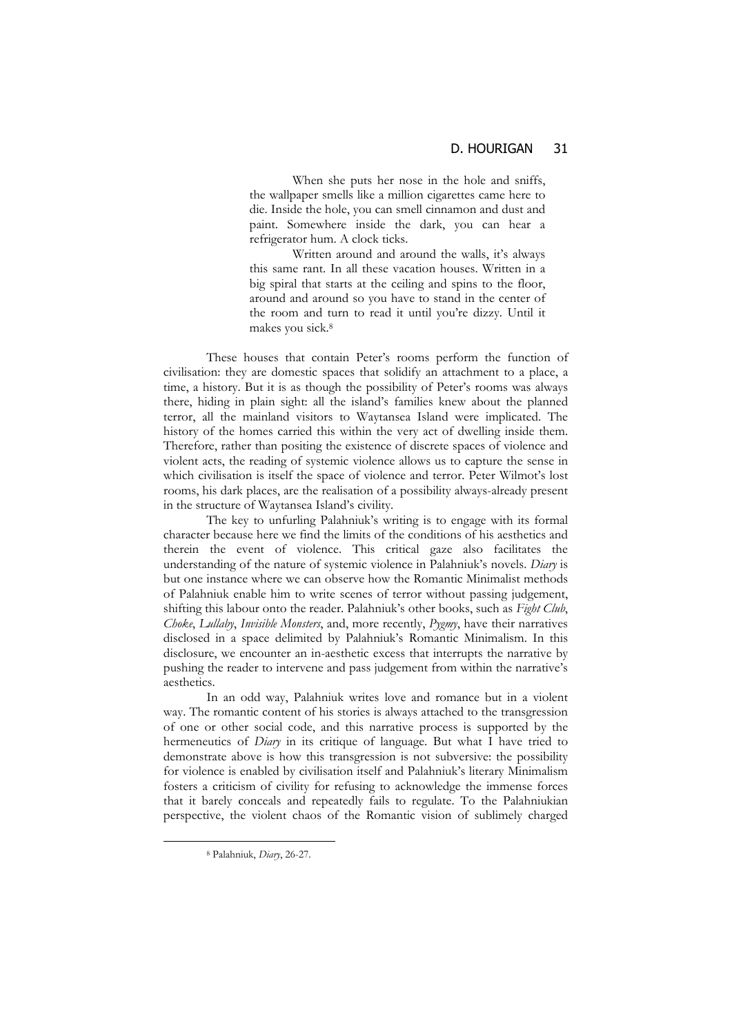When she puts her nose in the hole and sniffs, the wallpaper smells like a million cigarettes came here to die. Inside the hole, you can smell cinnamon and dust and paint. Somewhere inside the dark, you can hear a refrigerator hum. A clock ticks.

 Written around and around the walls, it's always this same rant. In all these vacation houses. Written in a big spiral that starts at the ceiling and spins to the floor, around and around so you have to stand in the center of the room and turn to read it until you're dizzy. Until it makes you sick.8

These houses that contain Peter's rooms perform the function of civilisation: they are domestic spaces that solidify an attachment to a place, a time, a history. But it is as though the possibility of Peter's rooms was always there, hiding in plain sight: all the island's families knew about the planned terror, all the mainland visitors to Waytansea Island were implicated. The history of the homes carried this within the very act of dwelling inside them. Therefore, rather than positing the existence of discrete spaces of violence and violent acts, the reading of systemic violence allows us to capture the sense in which civilisation is itself the space of violence and terror. Peter Wilmot's lost rooms, his dark places, are the realisation of a possibility always-already present in the structure of Waytansea Island's civility.

The key to unfurling Palahniuk's writing is to engage with its formal character because here we find the limits of the conditions of his aesthetics and therein the event of violence. This critical gaze also facilitates the understanding of the nature of systemic violence in Palahniuk's novels. *Diary* is but one instance where we can observe how the Romantic Minimalist methods of Palahniuk enable him to write scenes of terror without passing judgement, shifting this labour onto the reader. Palahniuk's other books, such as *Fight Club*, *Choke*, *Lullaby*, *Invisible Monsters*, and, more recently, *Pygmy*, have their narratives disclosed in a space delimited by Palahniuk's Romantic Minimalism. In this disclosure, we encounter an in-aesthetic excess that interrupts the narrative by pushing the reader to intervene and pass judgement from within the narrative's aesthetics.

In an odd way, Palahniuk writes love and romance but in a violent way. The romantic content of his stories is always attached to the transgression of one or other social code, and this narrative process is supported by the hermeneutics of *Diary* in its critique of language. But what I have tried to demonstrate above is how this transgression is not subversive: the possibility for violence is enabled by civilisation itself and Palahniuk's literary Minimalism fosters a criticism of civility for refusing to acknowledge the immense forces that it barely conceals and repeatedly fails to regulate. To the Palahniukian perspective, the violent chaos of the Romantic vision of sublimely charged

<sup>8</sup> Palahniuk, *Diary*, 26-27.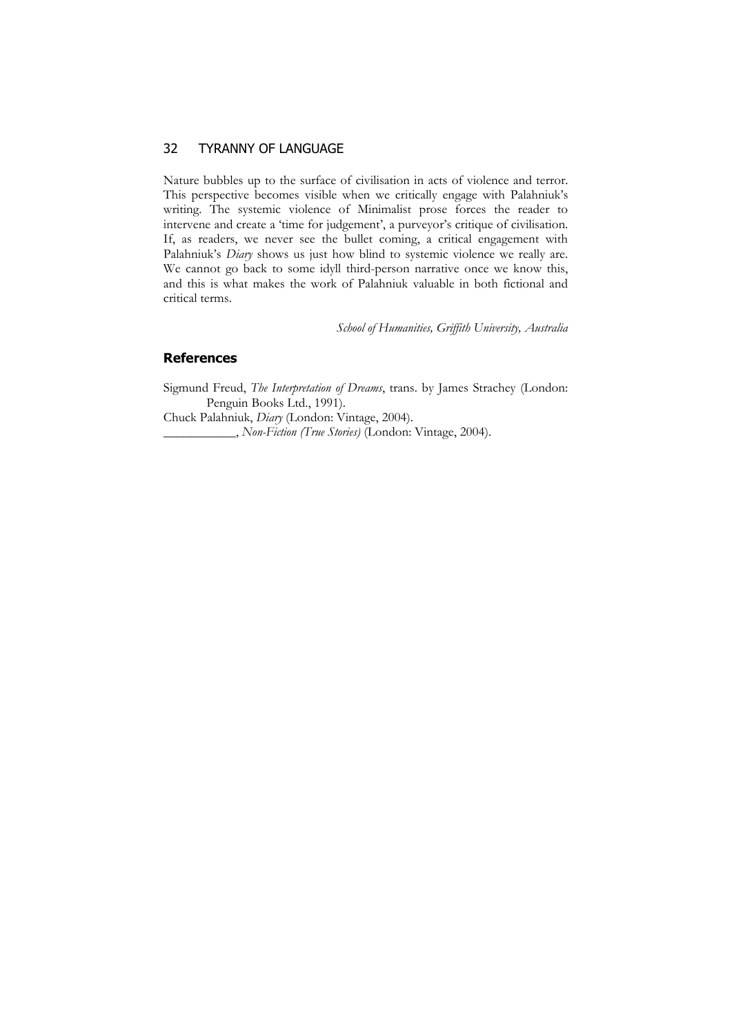## 32 TYRANNY OF LANGUAGE

Nature bubbles up to the surface of civilisation in acts of violence and terror. This perspective becomes visible when we critically engage with Palahniuk's writing. The systemic violence of Minimalist prose forces the reader to intervene and create a 'time for judgement', a purveyor's critique of civilisation. If, as readers, we never see the bullet coming, a critical engagement with Palahniuk's *Diary* shows us just how blind to systemic violence we really are. We cannot go back to some idyll third-person narrative once we know this, and this is what makes the work of Palahniuk valuable in both fictional and critical terms.

*School of Humanities, Griffith University, Australia* 

#### **References**

Sigmund Freud, *The Interpretation of Dreams*, trans. by James Strachey (London: Penguin Books Ltd., 1991).

Chuck Palahniuk, *Diary* (London: Vintage, 2004).

\_\_\_\_\_\_\_\_\_\_\_, *Non-Fiction (True Stories)* (London: Vintage, 2004).